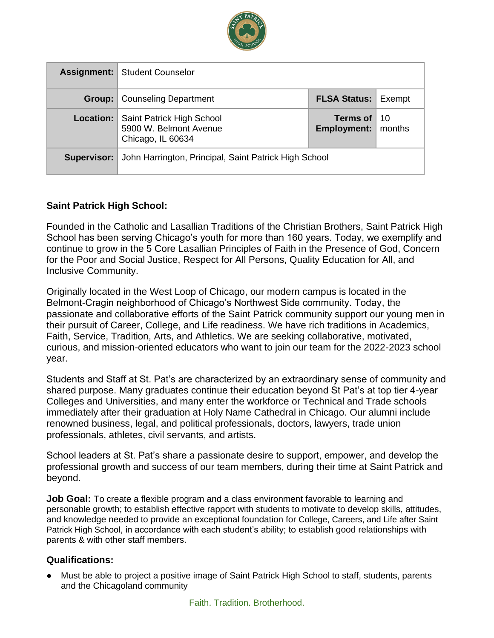

|             | <b>Assignment:</b> Student Counselor                                     |                                         |     |
|-------------|--------------------------------------------------------------------------|-----------------------------------------|-----|
| Group:      | <b>Counseling Department</b>                                             | <b>FLSA Status: Exempt</b>              |     |
| Location:   | Saint Patrick High School<br>5900 W. Belmont Avenue<br>Chicago, IL 60634 | Terms of<br><b>Employment:</b>   months | -10 |
| Supervisor: | John Harrington, Principal, Saint Patrick High School                    |                                         |     |

## **Saint Patrick High School:**

Founded in the Catholic and Lasallian Traditions of the Christian Brothers, Saint Patrick High School has been serving Chicago's youth for more than 160 years. Today, we exemplify and continue to grow in the 5 Core Lasallian Principles of Faith in the Presence of God, Concern for the Poor and Social Justice, Respect for All Persons, Quality Education for All, and Inclusive Community.

Originally located in the West Loop of Chicago, our modern campus is located in the Belmont-Cragin neighborhood of Chicago's Northwest Side community. Today, the passionate and collaborative efforts of the Saint Patrick community support our young men in their pursuit of Career, College, and Life readiness. We have rich traditions in Academics, Faith, Service, Tradition, Arts, and Athletics. We are seeking collaborative, motivated, curious, and mission-oriented educators who want to join our team for the 2022-2023 school year.

Students and Staff at St. Pat's are characterized by an extraordinary sense of community and shared purpose. Many graduates continue their education beyond St Pat's at top tier 4-year Colleges and Universities, and many enter the workforce or Technical and Trade schools immediately after their graduation at Holy Name Cathedral in Chicago. Our alumni include renowned business, legal, and political professionals, doctors, lawyers, trade union professionals, athletes, civil servants, and artists.

School leaders at St. Pat's share a passionate desire to support, empower, and develop the professional growth and success of our team members, during their time at Saint Patrick and beyond.

**Job Goal:** To create a flexible program and a class environment favorable to learning and personable growth; to establish effective rapport with students to motivate to develop skills, attitudes, and knowledge needed to provide an exceptional foundation for College, Careers, and Life after Saint Patrick High School, in accordance with each student's ability; to establish good relationships with parents & with other staff members.

### **Qualifications:**

● Must be able to project a positive image of Saint Patrick High School to staff, students, parents and the Chicagoland community